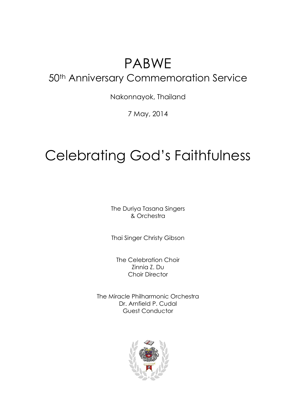## PABWE 50<sup>th</sup> Anniversary Commemoration Service

Nakonnayok, Thailand

7 May, 2014

# Celebrating God's Faithfulness

The Duriya Tasana Singers & Orchestra

Thai Singer Christy Gibson

The Celebration Choir Zinnia Z. Du Choir Director

The Miracle Philharmonic Orchestra Dr. Arnfield P. Cudal Guest Conductor

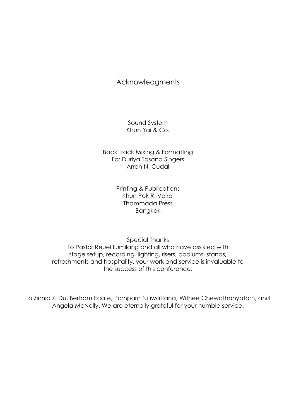## Acknowledgments

Sound System Khun Yai & Co.

Back Track Mixing & Formatting For Duriya Tasana Singers Arren N. Cudal

> Printing & Publications Khun Pok R. Vairoj Thammada Press Bangkok

Special Thanks To Pastor Reuel Lumilang and all who have assisted with stage setup, recording, lighting, risers, podiums, stands, refreshments and hospitality, your work and service is invaluable to the success of this conference.

To Zinnia Z. Du, Bertram Ecate, Pornparn Nitiwattana, Withee Chewathanyatarn, and Angela McNally. We are eternally grateful for your humble service.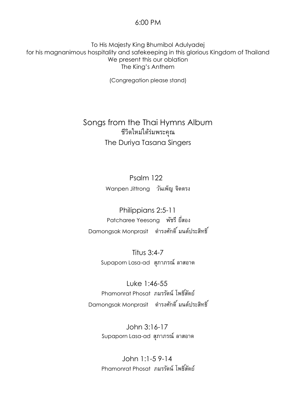#### 6:00 PM

To His Majesty King Bhumibol Adulyadej for his magnanimous hospitality and safekeeping in this glorious Kingdom of Thailand We present this our oblation The King's Anthem

(Congregation please stand)

## Songs from the Thai Hymns Album ชีวิตใหม่ใต้ร่มพระคุณ The Duriya Tasana Singers

Psalm 122 Wanpen Jittrongวันเพ็ญ จิตตรง

Philippians 2:5-11 Patcharee Yeesong พัชรียี่สอง  $\,$  Damongsak Monprasit  $\,$  ดำรงศักดิ์ มนต์ประสิทธิ์

> Titus 3:4-7 Supaporn Lasa-ad สุภำภรณ์ลำสอำด

Luke 1:46-55 Phamonrat Phosat ภมรรัตน์โพธสิ์ตัย์ Damongsak Monprasit ดำรงศักดิ์ มนต์ประสิทธิ์

> John 3:16-17 Supaporn Lasa-ad สุภำภรณ์ลำสอำด

> John 1:1-5 9-14 Phamonrat Phosat ภมรรัตน์โพธสิ์ตัย์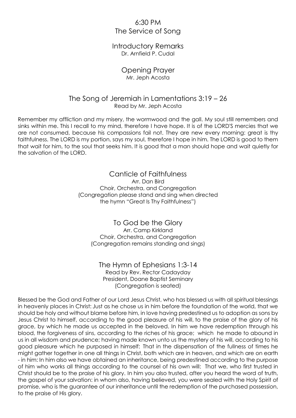## 6:30 PM The Service of Song

#### Introductory Remarks Dr. Arnfield P. Cudal

#### Opening Prayer Mr. Jeph Acosta

#### The Song of Jeremiah in Lamentations 3:19 – 26 Read by Mr. Jeph Acosta

Remember my affliction and my misery, the wormwood and the gall. My soul still remembers and sinks within me. This I recall to my mind, therefore I have hope. It is of the LORD'S mercies that we are not consumed, because his compassions fail not. They are new every morning: great is thy faithfulness. The LORD is my portion, says my soul, therefore I hope in him. The LORD is good to them that wait for him, to the soul that seeks him. It is good that a man should hope and wait quietly for the salvation of the LORD.

> Canticle of Faithfulness Arr. Dan Bird Choir, Orchestra, and Congregation (Congregation please stand and sing when directed the hymn "Great Is Thy Faithfulness")

To God be the Glory Arr. Camp Kirkland Choir, Orchestra, and Congregation (Congregation remains standing and sings)

#### The Hymn of Ephesians 1:3-14 Read by Rev. Rector Cadayday President, Doane Baptist Seminary (Congregation is seated)

Blessed be the God and Father of our Lord Jesus Christ, who has blessed us with all spiritual blessings in heavenly places in Christ: Just as he chose us in him before the foundation of the world, that we should be holy and without blame before him, in love having predestined us to adoption as sons by Jesus Christ to himself, according to the good pleasure of his will, to the praise of the glory of his grace, by which he made us accepted in the beloved. In him we have redemption through his blood, the forgiveness of sins, according to the riches of his grace; which he made to abound in us in all wisdom and prudence; having made known unto us the mystery of his will, according to his good pleasure which he purposed in himself:That in the dispensation of the fullness of times he might gather together in one all things in Christ, both which are in heaven, and which are on earth - in him: In him also we have obtained an inheritance, being predestined according to the purpose of him who works all things according to the counsel of his own will: That we, who first trusted in Christ should be to the praise of his glory.In him you also trusted, after you heard the word of truth, the gospel of your salvation: in whom also, having believed, you were sealed with the Holy Spirit of promise, who is the guarantee of our inheritance until the redemption of the purchased possession, to the praise of His glory.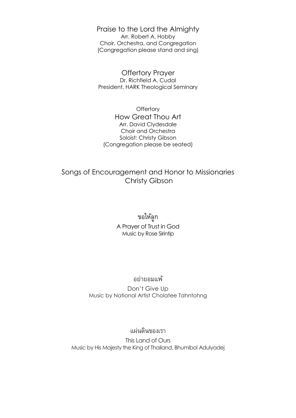Praise to the Lord the Almighty Arr. Robert A. Hobby Choir, Orchestra, and Congregation (Congregation please stand and sing)

Offertory Prayer Dr. Richfield A. Cudal President, HARK Theological Seminary

**Offertory** How Great Thou Art Arr. David Clydesdale Choir and Orchestra Soloist: Christy Gibson (Congregation please be seated)

## Songs of Encouragement and Honor to Missionaries Christy Gibson

## ขอให้ลูก A Prayer of Trust in God Music by Rose Sirintip

#### อย่ำยอมแพ้

Don't Give Up Music by National Artist Cholatee Tahntohng

#### แผ่นดินของเรำ

This Land of Ours Music by His Majesty the King of Thailand, Bhumibol Adulyadej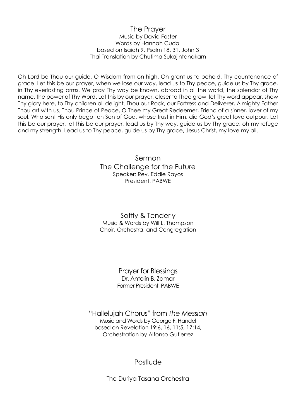#### The Prayer Music by David Foster Words by Hannah Cudal based on Isaiah 9, Psalm 18, 31, John 3 Thai Translation by Chutima Sukajintanakarn

Oh Lord be Thou our guide, O Wisdom from on high. Oh grant us to behold, Thy countenance of grace. Let this be our prayer, when we lose our way, lead us to Thy peace, guide us by Thy grace, in Thy everlasting arms. We pray Thy way be known, abroad in all the world, the splendor of Thy name, the power of Thy Word. Let this by our prayer, closer to Thee grow, let Thy word appear, show Thy glory here, to Thy children all delight. Thou our Rock, our Fortress and Deliverer, Almighty Father Thou art with us. Thou Prince of Peace, O Thee my Great Redeemer, Friend of a sinner, lover of my soul. Who sent His only begotten Son of God, whose trust in Him, did God's great love outpour. Let this be our prayer, let this be our prayer, lead us by Thy way, guide us by Thy grace, oh my refuge and my strength. Lead us to Thy peace, guide us by Thy grace, Jesus Christ, my love my all.

> Sermon The Challenge for the Future Speaker: Rev. Eddie Rayos President, PABWE

#### Softly & Tenderly Music & Words by Will L. Thompson Choir, Orchestra, and Congregation

Prayer for Blessings Dr. Antolin B. Zamar Former President, PABWE

"Hallelujah Chorus" from *The Messiah* Music and Words by George F. Handel based on Revelation 19:6, 16, 11:5, 17:14, Orchestration by Alfonso Gutierrez

Postlude

The Duriya Tasana Orchestra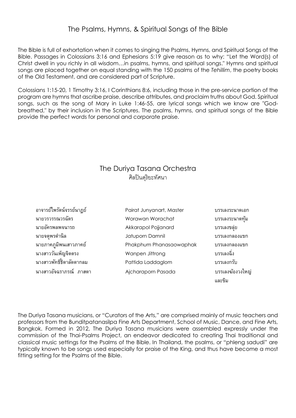The Bible is full of exhortation when it comes to singing the Psalms, Hymns, and Spiritual Songs of the Bible. Passages in Colossians 3:16 and Ephesians 5:19 give reason as to why: "Let the Word(s) of Christ dwell in you richly in all wisdom…in psalms, hymns, and spiritual songs." Hymns and spiritual songs are placed together on equal standing with the 150 psalms of the *Tehillim*, the poetry books of the Old Testament, and are considered part of Scripture.

Colossians 1:15-20, 1 Timothy 3:16, I Corinthians 8:6, including those in the pre-service portion of the program are hymns that ascribe praise, describe attributes, and proclaim truths about God. Spiritual songs, such as the song of Mary in Luke 1:46-55, are lyrical songs which we know are "Godbreathed," by their inclusion in the Scriptures. The psalms, hymns, and spiritual songs of the Bible provide the perfect words for personal and corporate praise.

## The Duriya Tasana Orchestra ศิลปินดุริยะทัศนา

| อาจารย์ไพรัตน์จรรย์นาฏย์ | Pairat Junyanart, Master | บรรเลงระนาดเอก   |
|--------------------------|--------------------------|------------------|
| นายวรวรรณวรฉัตร          | Worawan Worachat         | บรรเลงระนาดทัม   |
| นายอัครพลพจนารถ          | Akkarapol Pojjanard      | บรรเลงขล่ย       |
| นายจตพรดำนิล             | Jatuporn Damnil          | บรรเลงกลองแขก    |
| นายภาคภมิพนเสาวภาคย์     | Phakphum Phanasaowaphak  | บรรเลงกลองแขก    |
| นางสาววันเพ็ญจิตตรง      | Wanpen Jittrong          | บรรเลงฉิ่ง       |
| นางสาวพัทธิ์ธิดาลัดดากลม | Pattida Laddaglom        | บรรเลงกรับ       |
| นางสาวอัจฉราภรณ์ ภาสดา   | Ajcharaporn Pasada       | บรรเลงฆ้องวงใหญ่ |
|                          |                          | และขิม           |

The Duriya Tasana musicians, or "Curators of the Arts," are comprised mainly of music teachers and professors from the Bunditpatanasilpa Fine Arts Department, School of Music, Dance, and Fine Arts, Bangkok. Formed in 2012, The Duriya Tasana musicians were assembled expressly under the commission of the Thai-Psalms Project, an endeavor dedicated to creating Thai traditional and classical music settings for the Psalms of the Bible. In Thailand, the psalms, or "phleng sadudi" are typically known to be songs used especially for praise of the King, and thus have become a most fitting setting for the Psalms of the Bible.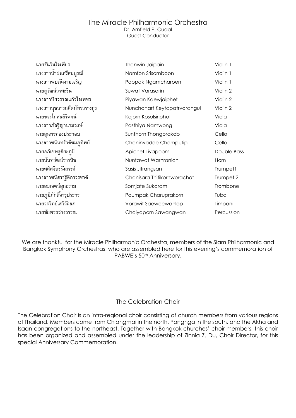#### The Miracle Philharmonic Orchestra Dr. Arnfield P. Cudal

Guest Conductor

| นายธันวินใจเพียร            | Thanwin Jaipain              | Violin 1    |
|-----------------------------|------------------------------|-------------|
| นางสาวน้ำฝนศรีสมบูรณ์       | Namfon Srisomboon            | Violin 1    |
| นางสาวพบภัคงามเจริญ         | Pobpak Ngamcharoen           | Violin 1    |
| นายสุวัฒน์วรศะริน           | Suwat Varasarin              | Violin 2    |
| นางสาวปิยวรรณแก้วใจเพชร     | Piyawan Kaewjaiphet          | Violin 2    |
| นางสาวนุชนารถคีตภัทรวรางกูร | Nunchanart Keytapatrvarangul | Violin 2    |
| นายขจรโกศลสิริพจน์          | Kajorn Kosolsiriphot         | Viola       |
| นางสาวภัสฐิญานามวงษ์        | Pasthiya Namwong             | Viola       |
| นายสุนทรทองประกอบ           | Sunthorn Thongprakob         | Cello       |
| นางสาวชนินทร์วดีชมภูทิพย์   | Chaninvadee Chomputip        | Cello       |
| นายอภิเชษฐติยะภูมิ          | Apichet Tiyapoom             | Double Bass |
| นายนันทวัฒน์วารนิช          | Nuntawat Warnranich          | Horn        |
| นายศศิศจิตรรังสรรค์         | Sasis Jitrangsan             | Trumpet1    |
| นางสาวชนิสราฐิติกรวรชาติ    | Chanisara Thitikornworachat  | Trumpet 2   |
| นายสมเจตน์สุกอร่าม          | Somjate Sukaram              | Trombone    |
| นายภูมิภักดิ์จารุประกร      | Poumpak Charuprakorn         | Tuba        |
| นายวรวิทย์เสวีวัลลภ         | Vorawit Saeweewanlop         | Timpani     |
| นายชัยพรสว่างวรรณ           | Chaiyaporn Sawangwan         | Percussion  |

We are thankful for the Miracle Philharmonic Orchestra, members of the Siam Philharmonic and Bangkok Symphony Orchestras, who are assembled here for this evening's commemoration of PABWE's 50<sup>th</sup> Anniversary.

#### The Celebration Choir

The Celebration Choir is an intra-regional choir consisting of church members from various regions of Thailand. Members come from Chiangmai in the north, Pangnga in the south, and the Akha and Isaan congregations to the northeast. Together with Bangkok churches' choir members, this choir has been organized and assembled under the leadership of Zinnia Z. Du, Choir Director, for this special Anniversary Commemoration.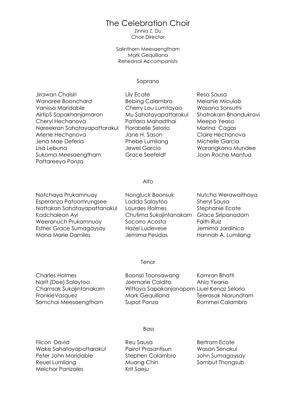## The Celebration Choir

Zinnia Z. Du Choir Director

Salinthorn Meesaengtham Mark Gequillana Rehearsal Accompanists

#### Soprano

| Jirawan Chaisiri             |
|------------------------------|
| Wanaree Boonchard            |
| Vanissa Maridable            |
| AirtipS Sapakhanjamaron      |
| Cheryl Hechanova             |
| Nareekran Sahatayapattarakul |
| Arlene Hechanova             |
| Jena Mae Deferia             |
| Lisa Lebuna                  |
| Sukoma Meesaengtham          |
| Pattareeya Ponza             |
|                              |

Bebing Calambro Melanie Miculob Cherry Lou Lumtayao Wasana Sonsuthi Pattara Mahadthai Meepa Yeaso Florabelle Selorio Marina Cagas Arlene Hechanova Jane H. Sason Claire Hechanova Phebe Lumilang Michelle Garcia Grace Seefeldt Joan Roche Mantua

Lily Ecate **Resa Sausa** Mu Sahatayapattarakul Shatrakarn Bhandukravi Jewel Garcia **Warangkana Mundee** 

Alto

Natchaya Prukamnuay Mongluck Boonsuk Nutcha Werawaithaya Esperanza Patoomrungsee Ladda Salaytoo Sheryl Sausa Nattakan Sahatayapattanakul Lourdes Holmes Stephanie Ecate Kadchaleon Ayi Chutima Sukajintanakarn Grace Siripanadorn Weeranuch Prukamnuay Socorro Acosta Faith Ruiz Esther Grace Sumagaysay Hazel Ludevese Jemima Jardinico Mona Marie Damiles Mannah A. Lumilang

#### Tenor

Charles Holmes **Boonsri Toonsawang** Kamran Bhatti Narit (Doe) Salaytoo Joemarie Caldito Ahlo Yearso Charnsak Sukajintanakarn Wittaya Sapakanjanaporn Liuel Kenaz Selorio FrankieVasquez Mark Gequillana Teerasak Niarundtam Somchai Meesaengtham Supat Ponza Rommel Calambro

#### **Bass**

Filcon David **Reu Sausa** Reu Sausa Bertram Ecate Wake Sahatayapattarakul Pairot Prasantisun Wasan Senakul Peter John Maridable Stephen Calambro John Sumagaysay Reuel Lumilang Muang Chin Sombut Thongsub Melchor Panizales Krit Saeju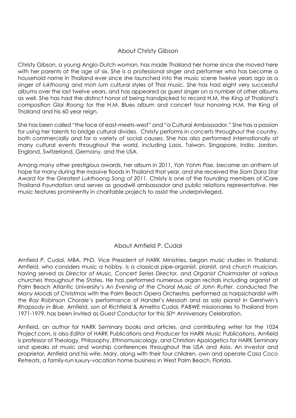#### About Christy Gibson

Christy Gibson, a young Anglo-Dutch woman, has made Thailand her home since she moved here with her parents at the age of six. She is a professional singer and performer who has become a household name in Thailand ever since she launched into the music scene twelve years ago as a singer of *lukthoong* and *moh lum* cultural styles of Thai music. She has had eight very successful albums over the last twelve years, and has appeared as guest singer on a number of other albums as well. She has had the distinct honor of being handpicked to record H.M. the King of Thailand's composition *Glai Roong* for the H.M. Blues album and concert tour honoring H.M. the King of Thailand and his 60 year reign.

She has been called "the face of east-meets-west" and "a Cultural Ambassador." She has a passion for using her talents to bridge cultural divides. Christy performs in concerts throughout the country, both commercially and for a variety of social causes. She has also performed internationally at many cultural events throughout the world, including Laos, Taiwan, Singapore, India, Jordan, England, Switzerland, Germany, and the USA.

Among many other prestigious awards, her album in 2011, *Yah Yohm Pae,* became an anthem of hope for many during the massive floods in Thailand that year, and she received the *Siam Dara Star Award* for the *Greatest Lukthoong Song of 2011.* Christy is one of the founding members of iCare Thailand Foundation and serves as goodwill ambassador and public relations representative. Her music features prominently in charitable projects to assist the underprivileged.

#### About Arnfield P. Cudal

Arnfield P. Cudal, MBA, PhD, Vice President of HARK Ministries, began music studies in Thailand. Arnfield, who considers music a hobby, is a classical pipe-organist, pianist, and church musician, having served as *Director of Music, Concert Series Director,* and *Organist Choirmaster* at various churches throughout the States. He has performed numerous organ recitals including organist at Palm Beach Atlantic University's *An Evening of the Choral Music of John Rutter,* conducted *The Many Moods of Christmas* with the Palm Beach Opera Orchestra, performed as harpsichordist with the *Ray Robinson Chorale's* performance of Handel's *Messiah* and as solo pianist in Gershwin's *Rhapsody in Blue.* Arnfield, son of Richfield & Amelita Cudal, PABWE missionaries to Thailand from 1971-1979, has been invited as *Guest Conductor* for this 50th Anniversary Celebration.

Arnfield, an author for HARK Seminary books and articles, and contributing writer for the 1024 Project.com, is also *Editor* of HARK Publications and *Producer* for HARK Music Publications. Arnfield is professor of Theology, Philosophy, Ethnomusicology, and Christian Apologetics for HARK Seminary and speaks at music and worship conferences throughout the USA and Asia. An investor and proprietor, Arnfield and his wife, Mary, along with their four children, own and operate *Casa Coco Retreats*, a family-run luxury-vacation home business in West Palm Beach, Florida.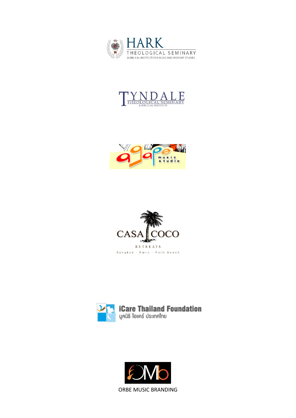